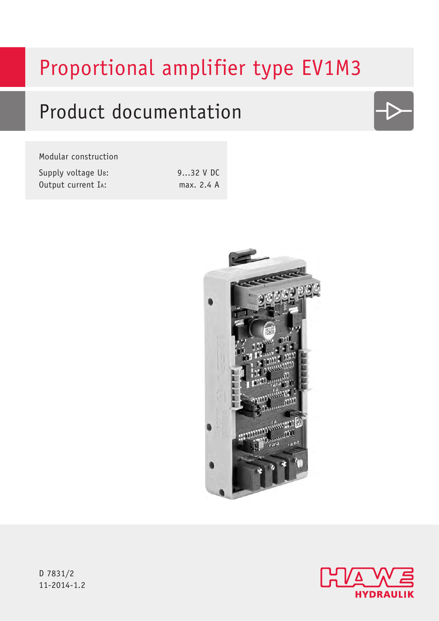# Proportional amplifier type EV1M3

## Product documentation

#### Modular construction

| Supply voltage UB: | 932 V DC   |
|--------------------|------------|
| Output current IA: | max. 2.4 A |





D 7831/2 11-2014-1.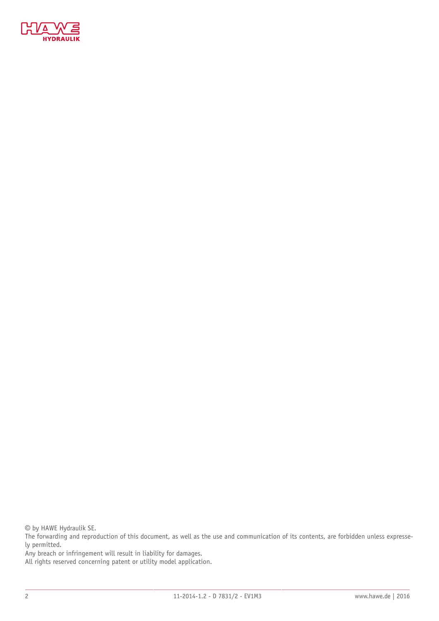

© by HAWE Hydraulik SE.

The forwarding and reproduction of this document, as well as the use and communication of its contents, are forbidden unless expressely permitted.

Any breach or infringement will result in liability for damages.

All rights reserved concerning patent or utility model application.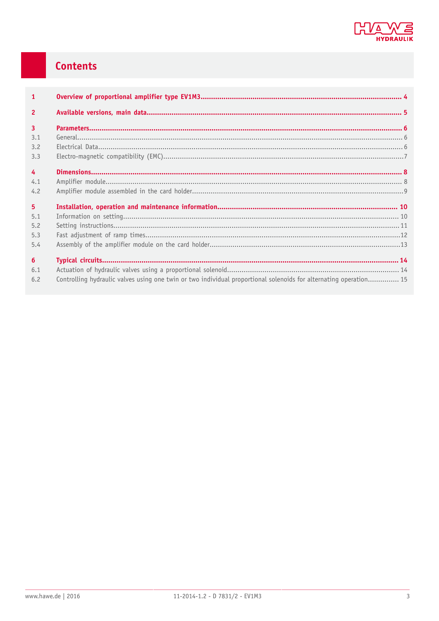

### Contents

| $\mathbf{1}$   |                                                                                                                   |  |
|----------------|-------------------------------------------------------------------------------------------------------------------|--|
| $\overline{2}$ |                                                                                                                   |  |
| $\overline{3}$ |                                                                                                                   |  |
| 3.1            |                                                                                                                   |  |
| 3.2            |                                                                                                                   |  |
| 3.3            |                                                                                                                   |  |
| $\overline{4}$ |                                                                                                                   |  |
| 4.1            |                                                                                                                   |  |
| 4.2            |                                                                                                                   |  |
| 5 <sup>1</sup> |                                                                                                                   |  |
| 5.1            |                                                                                                                   |  |
| 5.2            |                                                                                                                   |  |
| 5.3            |                                                                                                                   |  |
| 5.4            |                                                                                                                   |  |
| 6              |                                                                                                                   |  |
| 6.1            |                                                                                                                   |  |
| 6.2            | Controlling hydraulic valves using one twin or two individual proportional solenoids for alternating operation 15 |  |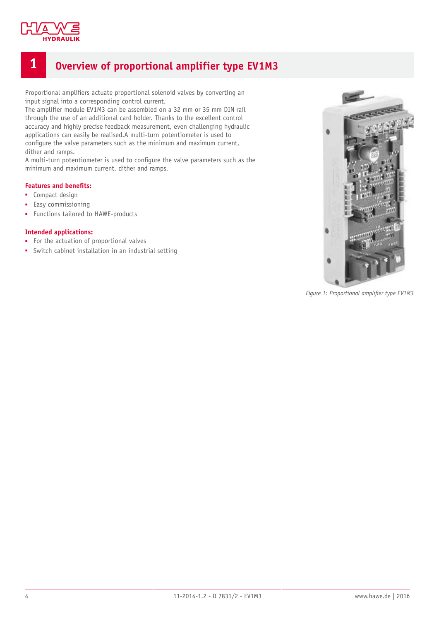

### <span id="page-3-0"></span>**1 Overview of proportional amplifier type EV1M3**

Proportional amplifiers actuate proportional solenoid valves by converting an input signal into a corresponding control current.

The amplifier module EV1M3 can be assembled on a 32 mm or 35 mm DIN rail through the use of an additional card holder. Thanks to the excellent control accuracy and highly precise feedback measurement, even challenging hydraulic applications can easily be realised.A multi-turn potentiometer is used to configure the valve parameters such as the minimum and maximum current, dither and ramps.

A multi-turn potentiometer is used to configure the valve parameters such as the minimum and maximum current, dither and ramps.

#### **Features and benefits:**

- Compact design
- Easy commissioning
- Functions tailored to HAWE-products

#### **Intended applications:**

- For the actuation of proportional valves
- Switch cabinet installation in an industrial setting



Figure 1: Proportional amplifier type EV1M3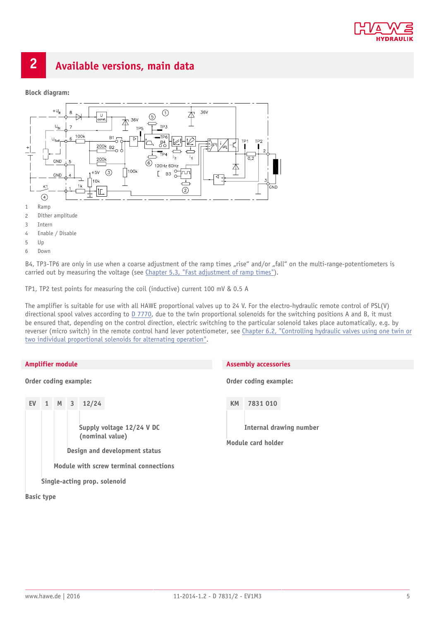

### <span id="page-4-0"></span>**2 Available versions, main data**

#### **Block diagram:**



B4, TP3-TP6 are only in use when a coarse adjustment of the ramp times "rise" and/or "fall" on the multi-range-potentiometers is carried out by measuring the voltage (see [Chapter 5.3, "Fast adjustment of ramp times"\)](#page-11-0).

TP1, TP2 test points for measuring the coil (inductive) current 100 mV & 0.5 A

The amplifier is suitable for use with all HAWE proportional valves up to 24 V. For the electro-hydraulic remote control of PSL(V) directional spool valves according to [D 7770](http://downloads.hawe.com/7/7/D7770-en.pdf), due to the twin proportional solenoids for the switching positions A and B, it must be ensured that, depending on the control direction, electric switching to the particular solenoid takes place automatically, e.g. by reverser (micro switch) in the remote control hand lever potentiometer, see [Chapter 6.2, "Controlling hydraulic valves using one twin or](#page-14-0) [two individual proportional solenoids for alternating operation"](#page-14-0).

#### **Amplifier module**

**Order coding example:**



**Basic type**

#### **Assembly accessories**

**Order coding example:**

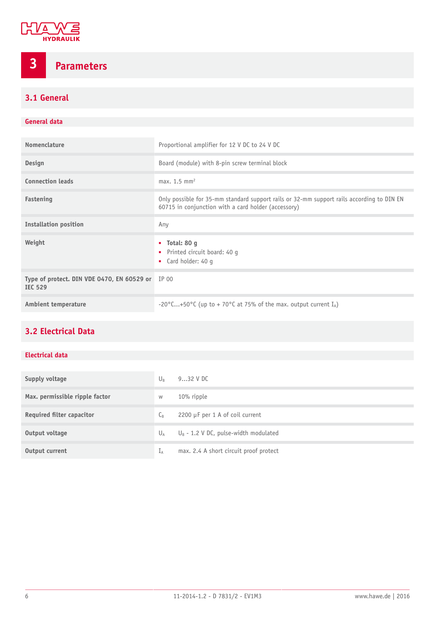

<span id="page-5-0"></span>**3 Parameters**

### <span id="page-5-1"></span>**3.1 General**

#### **General data**

| Nomenclature                                                 | Proportional amplifier for 12 V DC to 24 V DC                                                                                                    |
|--------------------------------------------------------------|--------------------------------------------------------------------------------------------------------------------------------------------------|
| <b>Design</b>                                                | Board (module) with 8-pin screw terminal block                                                                                                   |
| <b>Connection leads</b>                                      | max. $1.5 \text{ mm}^2$                                                                                                                          |
| Fastening                                                    | Only possible for 35-mm standard support rails or 32-mm support rails according to DIN EN<br>60715 in conjunction with a card holder (accessory) |
| <b>Installation position</b>                                 | Any                                                                                                                                              |
| Weight                                                       | $\blacksquare$ Total: 80 q<br>• Printed circuit board: 40 q<br>• Card holder: 40 g                                                               |
| Type of protect. DIN VDE 0470, EN 60529 or<br><b>IEC 529</b> | IP 00                                                                                                                                            |
| Ambient temperature                                          | -20°C+50°C (up to + 70°C at 75% of the max. output current $I_A$ )                                                                               |

### <span id="page-5-2"></span>**3.2 Electrical Data**

#### **Electrical data**

| Supply voltage                   | $U_{R}$          | $932$ V DC                              |
|----------------------------------|------------------|-----------------------------------------|
| Max. permissible ripple factor   | W                | $10\%$ ripple                           |
| <b>Required filter capacitor</b> | $C_{\mathsf{B}}$ | 2200 $\mu$ F per 1 A of coil current    |
| Output voltage                   | $U_A$            | $U_B$ - 1.2 V DC, pulse-width modulated |
| Output current                   | TА               | max. 2.4 A short circuit proof protect  |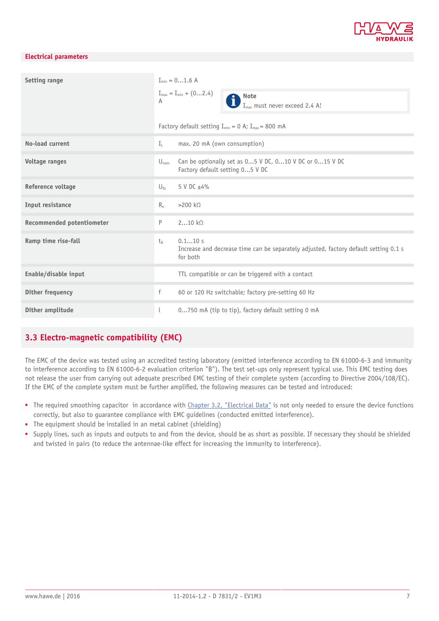

#### **Electrical parameters**

| Setting range                    | $I_{\min} = 01.6$ A<br>$I_{max} = I_{min} + (02.4)$<br>Note<br>A<br>$I_{max}$ must never exceed 2.4 A!<br>Factory default setting $I_{min} = 0$ A; $I_{max} = 800$ mA |
|----------------------------------|-----------------------------------------------------------------------------------------------------------------------------------------------------------------------|
| No-load current                  | $I_{\perp}$<br>max. 20 mA (own consumption)                                                                                                                           |
| Voltage ranges                   | Can be optionally set as $05$ V DC, $010$ V DC or $015$ V DC<br>$U_{nom}$<br>Factory default setting 05 V DC                                                          |
| Reference voltage                | 5 V DC ±4%<br>$U_{Sf}$                                                                                                                                                |
| Input resistance                 | $>200 k\Omega$<br>$R_{\rho}$                                                                                                                                          |
| <b>Recommended potentiometer</b> | P<br>210 kQ                                                                                                                                                           |
| Ramp time rise-fall              | 0.110 s<br>$t_{\rm R}$<br>Increase and decrease time can be separately adjusted, factory default setting 0.1 s<br>for both                                            |
| Enable/disable input             | TTL compatible or can be triggered with a contact                                                                                                                     |
| Dither frequency                 | f<br>60 or 120 Hz switchable; factory pre-setting 60 Hz                                                                                                               |
| Dither amplitude                 | 0750 mA (tip to tip), factory default setting 0 mA                                                                                                                    |

#### <span id="page-6-0"></span>**3.3 Electro-magnetic compatibility (EMC)**

The EMC of the device was tested using an accredited testing laboratory (emitted interference according to EN 61000-6-3 and immunity to interference according to EN 61000-6-2 evaluation criterion "B"). The test set-ups only represent typical use. This EMC testing does not release the user from carrying out adequate prescribed EMC testing of their complete system (according to Directive 2004/108/EC). If the EMC of the complete system must be further amplified, the following measures can be tested and introduced:

- The required smoothing capacitor in accordance with [Chapter 3.2, "Electrical Data"](#page-5-2) is not only needed to ensure the device functions correctly, but also to guarantee compliance with EMC guidelines (conducted emitted interference).
- The equipment should be installed in an metal cabinet (shielding)
- Supply lines, such as inputs and outputs to and from the device, should be as short as possible. If necessary they should be shielded and twisted in pairs (to reduce the antennae-like effect for increasing the immunity to interference).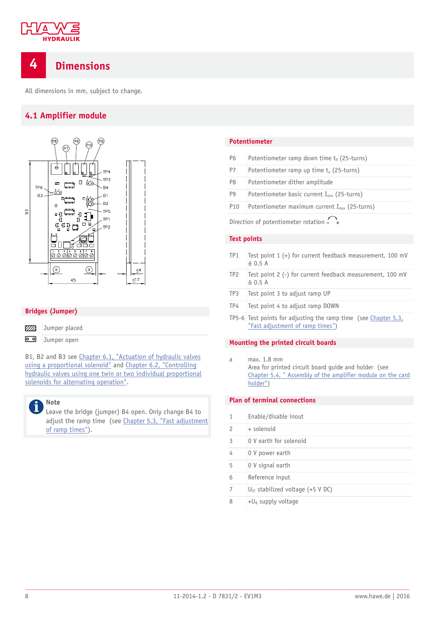

### <span id="page-7-0"></span>**4 Dimensions**

<span id="page-7-1"></span>All dimensions in mm, subject to change.

#### **4.1 Amplifier module**



#### **Bridges (Jumper)**



Jumper open

B1, B2 and B3 see [Chapter 6.1, "Actuation of hydraulic valves](#page-13-1) [using a proportional solenoid"](#page-13-1) and [Chapter 6.2, "Controlling](#page-14-0) [hydraulic valves using one twin or two individual proportional](#page-14-0) [solenoids for alternating operation".](#page-14-0)

#### **Note** Î

Leave the bridge (jumper) B4 open. Only change B4 to adjust the ramp time (see [Chapter 5.3, "Fast adjustment](#page-11-0) [of ramp times"](#page-11-0)).

#### **Potentiometer**

| P <sub>6</sub>                                                                                                  | Potentiometer ramp down time $t_d$ (25-turns)             |
|-----------------------------------------------------------------------------------------------------------------|-----------------------------------------------------------|
| P7                                                                                                              | Potentiometer ramp up time $t_u$ (25-turns)               |
| P <sub>8</sub>                                                                                                  | Potentiometer dither amplitude                            |
| P <sub>9</sub>                                                                                                  | Potentiometer basic current $I_{min}$ (25-turns)          |
| P <sub>10</sub>                                                                                                 | Potentiometer maximum current I <sub>max</sub> (25-turns) |
| the contract of the contract of the contract of the contract of the contract of the contract of the contract of |                                                           |

Direction of potentiometer rotation  $-\rightarrow$ 

#### **Test points**

| TP <sub>1</sub> | Test point 1 (+) for current feedback measurement, 100 mV<br>$\triangleq$ 0.5 A                     |
|-----------------|-----------------------------------------------------------------------------------------------------|
| TP <sub>2</sub> | Test point 2 (-) for current feedback measurement, 100 mV<br>$\triangleq$ 0.5 A                     |
| TP3             | Test point 3 to adjust ramp UP                                                                      |
| TP4             | Test point 4 to adjust ramp DOWN                                                                    |
|                 | TP5-6 Test points for adjusting the ramp time (see Chapter 5.3,<br>"Fast adjustment of ramp times") |

## **Mounting the printed circuit boards**

a max. 1.8 mm Area for printed circuit board guide and holder (see [Chapter 5.4, " Assembly of the amplifier module on the card](#page-12-0) [holder"\)](#page-12-0)

#### **Plan of terminal connections**

|                | Enable/disable inout                  |
|----------------|---------------------------------------|
| $\mathfrak{p}$ | + solenoid                            |
| 3              | 0 V earth for solenoid                |
| 4              | 0 V power earth                       |
| 5              | 0 V signal earth                      |
| 6              | Reference input                       |
| 7              | $U_{ST}$ stabilized voltage (+5 V DC) |
| 8              | $+U_B$ supply voltage                 |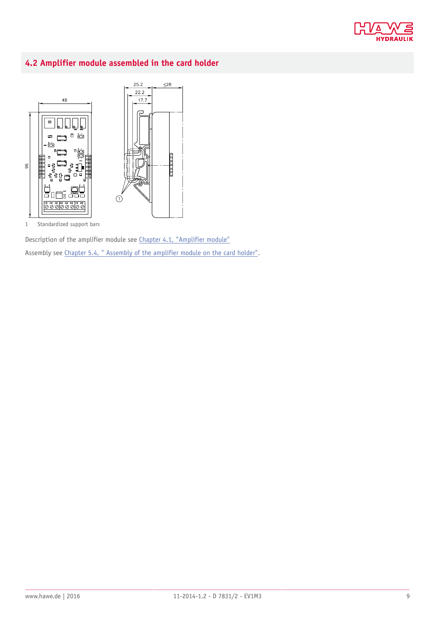

### <span id="page-8-0"></span>**4.2 Amplifier module assembled in the card holder**



1 Standardized support bars

Description of the amplifier module see [Chapter 4.1, "Amplifier module"](#page-7-1) Assembly see [Chapter 5.4, " Assembly of the amplifier module on the card holder".](#page-12-0)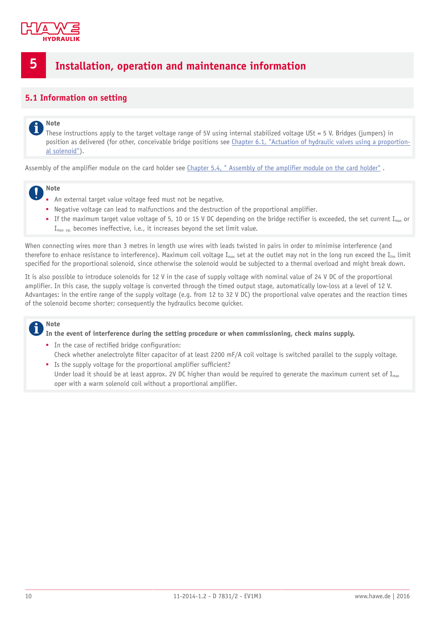

### <span id="page-9-0"></span>**5 Installation, operation and maintenance information**

#### <span id="page-9-1"></span>**5.1 Information on setting**

#### **Note** i

These instructions apply to the target voltage range of 5V using internal stabilized voltage USt = 5 V. Bridges (jumpers) in position as delivered (for other, conceivable bridge positions see [Chapter 6.1, "Actuation of hydraulic valves using a proportion](#page-13-1)[al solenoid"\)](#page-13-1).

Assembly of the amplifier module on the card holder see [Chapter 5.4, " Assembly of the amplifier module on the card holder"](#page-12-0) .



- An external target value voltage feed must not be negative.
- Negative voltage can lead to malfunctions and the destruction of the proportional amplifier.
- **■** If the maximum target value voltage of 5, 10 or 15 V DC depending on the bridge rectifier is exceeded, the set current  $I_{max}$  or I<sub>max op.</sub> becomes ineffective, i.e., it increases beyond the set limit value.

When connecting wires more than 3 metres in length use wires with leads twisted in pairs in order to minimise interference (and therefore to enhace resistance to interference). Maximum coil voltage  $I_{max}$  set at the outlet may not in the long run exceed the  $I_{lim}$  limit specified for the proportional solenoid, since otherwise the solenoid would be subjected to a thermal overload and might break down.

It is also possible to introduce solenoids for 12 V in the case of supply voltage with nominal value of 24 V DC of the proportional amplifier. In this case, the supply voltage is converted through the timed output stage, automatically low-loss at a level of 12 V. Advantages: in the entire range of the supply voltage (e.g. from 12 to 32 V DC) the proportional valve operates and the reaction times of the solenoid become shorter; consequently the hydraulics become quicker.

#### **Note**

**In the event of interference during the setting procedure or when commissioning, check mains supply.**

- In the case of rectified bridge configuration: Check whether anelectrolyte filter capacitor of at least 2200 mF/A coil voltage is switched parallel to the supply voltage.
- Is the supply voltage for the proportional amplifier sufficient? Under load it should be at least approx. 2V DC higher than would be required to generate the maximum current set of  $I_{max}$ oper with a warm solenoid coil without a proportional amplifier.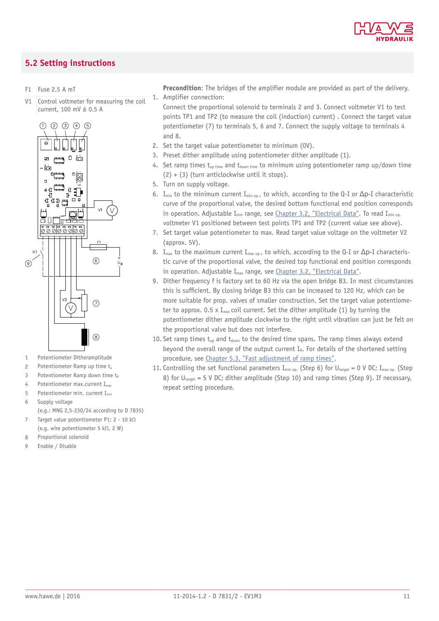

#### <span id="page-10-0"></span>**5.2 Setting instructions**

F1 Fuse 2.5 A mT

V1 Control voltmeter for measuring the coil current, 100 mV ≙ 0.5 A



- 1 Potentiometer Ditheramplitude
- 2 Potentiometer Ramp up time  $t_u$
- 3 Potentiometer Ramp down time  $t_d$
- 4 Potentiometer max.current  $I_{\text{max}}$
- 5 Potentiometer min. current Imin
- 6 Supply voltage (e.g.: MNG 2,5-230/24 according to D 7835)
- 7 Target value potentiometer P1; 2 10 kΩ (e.g. wire potentiometer 5 kΩ, 2 W)
- 8 Proportional solenoid
- 9 Enable / Disable

**Precondition**: The bridges of the amplifier module are provided as part of the delivery. 1. Amplifier connection:

Connect the proportional solenoid to terminals 2 and 3. Connect voltmeter V1 to test points TP1 and TP2 (to measure the coil (induction) current) . Connect the target value potentiometer (7) to terminals 5, 6 and 7. Connect the supply voltage to terminals 4 and 8.

- 2. Set the target value potentiometer to minimum (0V).
- 3. Preset dither amplitude using potentiometer dither amplitude (1).
- 4. Set ramp times  $t_{up time}$  and  $t_{down time}$  to minimum using potentiometer ramp up/down time  $(2) + (3)$  (turn anticlockwise until it stops).
- 5. Turn on supply voltage.
- 6. I<sub>min</sub> to the minimum current I<sub>min op.</sub>, to which, according to the Q-I or  $\Delta p$ -I characteristic curve of the proportional valve, the desired bottom functional end position corresponds in operation. Adjustable I<sub>min</sub> range, see [Chapter 3.2, "Electrical Data".](#page-5-2) To read I<sub>min op.</sub> voltmeter V1 positioned between test points TP1 and TP2 (current value see above).
- 7. Set target value potentiometer to max. Read target value voltage on the voltmeter V2 (approx. 5V).
- 8. I<sub>max</sub> to the maximum current I<sub>max op.</sub>, to which, according to the Q-I or  $\Delta p$ -I characteristic curve of the proportional valve, the desired top functional end position corresponds in operation. Adjustable  $I_{max}$  range, see [Chapter 3.2, "Electrical Data"](#page-5-2).
- 9. Dither frequency f is factory set to 60 Hz via the open bridge B3. In most circumstances this is sufficient. By closing bridge B3 this can be increased to 120 Hz, which can be more suitable for prop. valves of smaller construction. Set the target value potentiometer to approx. 0.5 x  $I_{max}$  coil current. Set the dither amplitude (1) by turning the potentiometer dither amplitude clockwise to the right until vibration can just be felt on the proportional valve but does not interfere.
- 10. Set ramp times  $t_{\text{un}}$  and  $t_{\text{down}}$  to the desired time spans. The ramp times always extend beyond the overall range of the output current  $I_A$ . For details of the shortened setting procedure, see [Chapter 5.3, "Fast adjustment of ramp times"](#page-11-0).
- 11. Controlling the set functional parameters  $I_{\min on}$ . (Step 6) for  $U_{\text{target}} = 0$  V DC;  $I_{\max on}$ . (Step 8) for  $U_{\text{target}} = 5$  V DC; dither amplitude (Step 10) and ramp times (Step 9). If necessary, repeat setting procedure.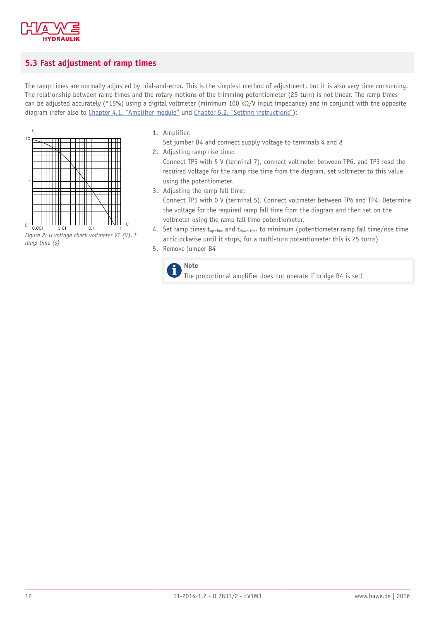

 $\ddot{\phantom{1}}$ 

### <span id="page-11-0"></span>**5.3 Fast adjustment of ramp times**

The ramp times are normally adjusted by trial-and-error. This is the simplest method of adjustment, but it is also very time consuming. The relationship between ramp times and the rotary motions of the trimming potentiometer (25-turn) is not linear. The ramp times can be adjusted accurately (\*15%) using a digital voltmeter (minimum 100 kΩ/V input impedance) and in conjunct with the opposite diagram (refer also to [Chapter 4.1, "Amplifier module"](#page-7-1) und [Chapter 5.2, "Setting instructions"](#page-10-0)):



*ramp time (s)*

1. Amplifier:

Set jumber B4 and connect supply voltage to terminals 4 and 8

2. Adjusting ramp rise time:

Connect TP5 with 5 V (terminal 7), connect voltmeter between TP6. and TP3 read the required voltage for the ramp rise time from the diagram, set voltmeter to this value using the potentiometer.

- 3. Adjusting the ramp fall time: Connect TP5 with 0 V (terminal 5). Connect voltmeter between TP6 and TP4. Determine the voltage for the required ramp fall time from the diagram and then set on the voltmeter using the ramp fall time potentiometer.
- 4. Set ramp times  $t_{up time}$  and  $t_{down time}$  to minimum (potentiometer ramp fall time/rise time anticlockwise until it stops, for a multi-turn potentiometer this is 25 turns)
- 5. Remove jumper B4



The proportional amplifier does not operate if bridge B4 is set!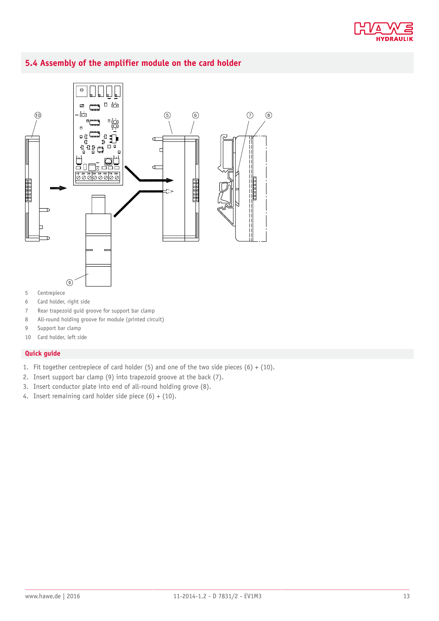

#### <span id="page-12-0"></span>**5.4 Assembly of the amplifier module on the card holder**



- 6 Card holder, right side
- 7 Rear trapezoid guid groove for support bar clamp
- 8 All-round holding groove for module (printed circuit)
- 9 Support bar clamp
- 10 Card holder, left side

#### **Quick guide**

- 1. Fit together centrepiece of card holder (5) and one of the two side pieces (6) + (10).
- 2. Insert support bar clamp (9) into trapezoid groove at the back (7).
- 3. Insert conductor plate into end of all-round holding grove (8).
- 4. Insert remaining card holder side piece  $(6) + (10)$ .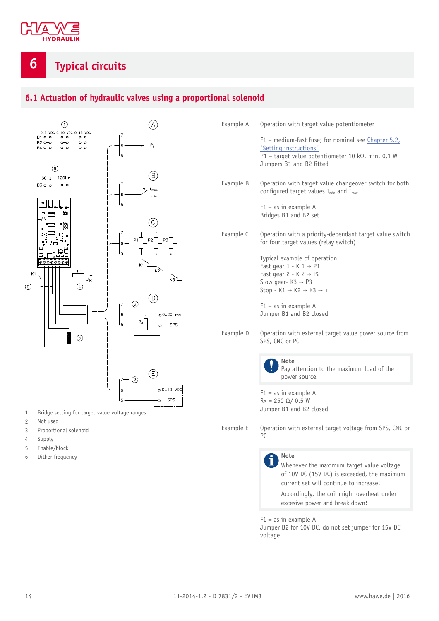

### <span id="page-13-0"></span>**6 Typical circuits**

### <span id="page-13-1"></span>**6.1 Actuation of hydraulic valves using a proportional solenoid**



- 1 Bridge setting for target value voltage ranges
- 2 Not used
- 3 Proportional solenoid
- 4 Supply
- 5 Enable/block
- 6 Dither frequency

| Example A | Operation with target value potentiometer                                                                                          |
|-----------|------------------------------------------------------------------------------------------------------------------------------------|
|           | $F1$ = medium-fast fuse; for nominal see Chapter 5.2,                                                                              |
|           | "Setting instructions"<br>P1 = target value potentiometer 10 k $\Omega$ , min. 0.1 W                                               |
|           | Jumpers B1 and B2 fitted                                                                                                           |
| Example B | Operation with target value changeover switch for both<br>configured target values $I_{min}$ and $I_{max}$                         |
|           | $F1 = as in example A$<br>Bridges B1 and B2 set                                                                                    |
| Example C | Operation with a priority-dependant target value switch<br>for four target values (relay switch)                                   |
|           | Typical example of operation:                                                                                                      |
|           | Fast gear $1 - K 1 \rightarrow P1$<br>Fast gear $2 - K$ $2 \rightarrow P2$                                                         |
|           | Slow gear- $K3 \rightarrow P3$<br>Stop - K1 $\rightarrow$ K2 $\rightarrow$ K3 $\rightarrow$ $\perp$                                |
|           |                                                                                                                                    |
|           | $F1 = as in example A$<br>Jumper B1 and B2 closed                                                                                  |
| Example D | Operation with external target value power source from<br>SPS, CNC or PC                                                           |
|           | Note<br>Pay attention to the maximum load of the<br>power source.                                                                  |
|           | $F1 = as in example A$                                                                                                             |
|           | $Rx = 250 \Omega / 0.5 W$<br>Jumper B1 and B2 closed                                                                               |
| Example E | Operation with external target voltage from SPS, CNC or<br>PC.                                                                     |
|           | <b>Note</b>                                                                                                                        |
|           | Whenever the maximum target value voltage<br>of 10V DC (15V DC) is exceeded, the maximum<br>current set will continue to increase! |
|           | Accordingly, the coil might overheat under<br>excesive power and break down!                                                       |
|           | $F1 = as in example A$<br>Jumper B2 for 10V DC, do not set jumper for 15V DC<br>voltage                                            |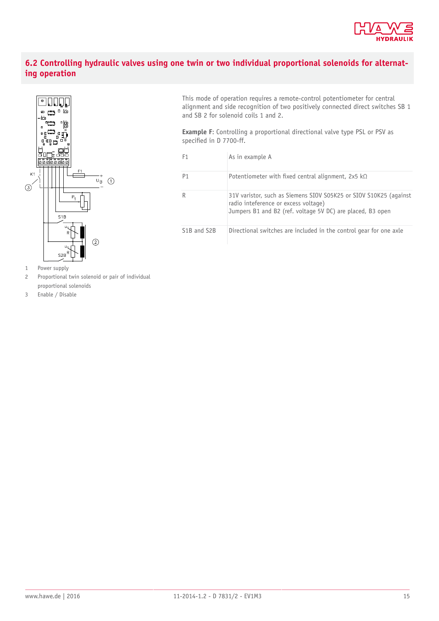

#### <span id="page-14-0"></span>**6.2 Controlling hydraulic valves using one twin or two individual proportional solenoids for alternating operation**



1 Power supply

- 2 Proportional twin solenoid or pair of individual proportional solenoids
- 3 Enable / Disable

This mode of operation requires a remote-control potentiometer for central alignment and side recognition of two positively connected direct switches SB 1 and SB 2 for solenoid coils 1 and 2.

**Example F**: Controlling a proportional directional valve type PSL or PSV as specified in D 7700-ff.

| F <sub>1</sub>                        | As in example A                                                                                                                                                         |
|---------------------------------------|-------------------------------------------------------------------------------------------------------------------------------------------------------------------------|
| P <sub>1</sub>                        | Potentiometer with fixed central alignment, 2x5 k $\Omega$                                                                                                              |
| R                                     | 31V varistor, such as Siemens SIOV S05K25 or SIOV S10K25 (against<br>radio inteference or excess voltage)<br>Jumpers B1 and B2 (ref. voltage 5V DC) are placed, B3 open |
| S <sub>1</sub> B and S <sub>2</sub> B | Directional switches are included in the control gear for one axle                                                                                                      |